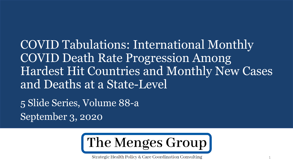COVID Tabulations: International Monthly COVID Death Rate Progression Among Hardest Hit Countries and Monthly New Cases and Deaths at a State-Level

5 Slide Series, Volume 88-a September 3, 2020



Strategic Health Policy & Care Coordination Consulting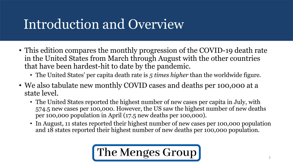# Introduction and Overview

- This edition compares the monthly progression of the COVID-19 death rate in the United States from March through August with the other countries that have been hardest-hit to date by the pandemic.
	- The United States' per capita death rate is *5 times higher* than the worldwide figure.
- We also tabulate new monthly COVID cases and deaths per 100,000 at a state level.
	- The United States reported the highest number of new cases per capita in July, with 574.5 new cases per 100,000. However, the US saw the highest number of new deaths per 100,000 population in April (17.5 new deaths per 100,000).
	- In August, 11 states reported their highest number of new cases per 100,000 population and 18 states reported their highest number of new deaths per 100,000 population.

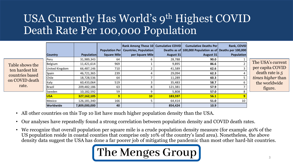### USA Currently Has World's 9th Highest COVID Death Rate Per 100,000 Population

|                                                       | <b>Country</b>   | <b>Population</b> | <b>Square Mile</b> | <b>Rank Among These 10 Cumulative COVID</b><br>Population Per   Countries, Population<br>per Square Mile | August 31 | <b>Cumulative Deaths Per</b><br>Deaths as of 100,000 Population as of Deaths per 100,000<br>August 31 | Rank, COVID<br><b>Population</b> |
|-------------------------------------------------------|------------------|-------------------|--------------------|----------------------------------------------------------------------------------------------------------|-----------|-------------------------------------------------------------------------------------------------------|----------------------------------|
|                                                       | Peru             | 31,989,343        | 64                 |                                                                                                          | 28,788    | 90.0                                                                                                  |                                  |
| Table shows the<br>ten hardest hit<br>countries based | Belgium          | 11,421,614        | 969                |                                                                                                          | 9,895     | 86.6                                                                                                  |                                  |
|                                                       | United Kingdom   | 66,487,146        | 710                |                                                                                                          | 41,589    | 62.6                                                                                                  |                                  |
|                                                       | Spain            | 46,721,365        | 239                |                                                                                                          | 29,094    | 62.3                                                                                                  |                                  |
|                                                       | Chile            | 18,728,536        | 64                 |                                                                                                          | 11,289    | 60.3                                                                                                  |                                  |
| on COVID death                                        | Italy            | 60,433,064        | 519                |                                                                                                          | 35,483    | 58.7                                                                                                  |                                  |
| rate.                                                 | Brazil           | 209,482,186       | 63                 |                                                                                                          | 121,381   | 57.9                                                                                                  |                                  |
|                                                       | Sweden           | 10,182,592        | 59                 | q                                                                                                        | 5,808     | 57.0                                                                                                  | ጸ                                |
|                                                       | <b>USA</b>       | 327,162,105       | 9                  | 10 <sub>1</sub>                                                                                          | 183,597   | 56.1                                                                                                  |                                  |
|                                                       | Mexico           | 126,181,340       | 166                |                                                                                                          | 64,414    | 51.0                                                                                                  | 10                               |
|                                                       | <b>Worldwide</b> | 7,809,000,000     | 40                 |                                                                                                          | 854,424   | 10.9                                                                                                  |                                  |

ne USA's current per capita COVID death rate is *5 times higher* than the worldwide figure.

- All other countries on this Top 10 list have much higher population density than the USA.
- Our analyses have repeatedly found a strong correlation between population density and COVID death rates.
- We recognize that overall population per square mile is a crude population density measure (for example 40% of the US population reside in coastal counties that comprise only 10% of the country's land area). Nonetheless, the above density data suggest the USA has done a far poorer job of mitigating the pandemic than most other hard-hit countries.

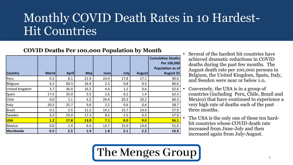### Monthly COVID Death Rates in 10 Hardest-Hit Countries

#### **COVID Deaths Per 100,000 Population by Month**

|                       |              |              |             |             |             |               | <b>Cumulative Deaths</b><br>Per 100,000<br><b>Population as of</b> |
|-----------------------|--------------|--------------|-------------|-------------|-------------|---------------|--------------------------------------------------------------------|
| <b>Country</b>        | <b>March</b> | <b>April</b> | <b>May</b>  | <b>June</b> | <b>July</b> | <b>August</b> | <b>August 31</b>                                                   |
| Peru                  | 0.2          | 8.1          | 21.9        | 24.9        | 17.8        | 17.1          | 90.0                                                               |
| Belgium               | 6.2          | 60.3         | 16.4        | 2.5         | 0.8         | 0.5           | 86.6                                                               |
| <b>United Kingdom</b> | 3.7          | 36.4         | 16.2        | 4.4         | 1.2         | 0.6           | 62.6                                                               |
| Spain                 | 17.5         | 35.0         | 5.5         | 2.6         | 0.2         | 1.4           | 62.3                                                               |
| Chile                 | 0.0          | 1.1          | 4.2         | 24.4        | 20.3        | 10.2          | 60.3                                                               |
| Italy                 | 20.5         | 25.7         | 9.0         | 2.2         | 0.6         | 0.6           | 58.7                                                               |
| <b>Brazil</b>         | 0.1          | 2.5          | 11.2        | 14.1        | 15.7        | 14.4          | 57.9                                                               |
| Sweden                | 3.3          | 25.0         | 17.3        | 8.5         | 2.5         | 0.5           | 57.0                                                               |
| <b>USA</b>            | 1.2          | <b>17.8</b>  | <b>13.0</b> | 7.1         | 8.0         | 9.0           | 56.1                                                               |
| Mexico                | 0.0          | 1.4          | 6.4         | 13.7        | 15.0        | 14.6          | 51.0                                                               |
| <b>Worldwide</b>      | 0.5          | 2.5          | 1.9         | 1.8         | 2.1         | 2.2           | 10.9                                                               |

- Several of the hardest hit countries have achieved dramatic reductions in COVID deaths during the past few months. The August death rate per 100,000 persons in Belgium, the United Kingdom, Spain, Italy, and Sweden were near or below 1.0.
- Conversely, the USA is in a group of countries (including Peru, Chile, Brazil and Mexico) that have continued to experience a very high rate of deaths each of the past three months.
- The USA is the only one of these ten hardhit countries whose COVID death rate increased from June-July and then increased again from July-August.

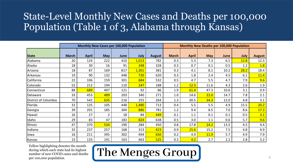### State-Level Monthly New Cases and Deaths per 100,000 Population (Table 1 of 3, Alabama through Kansas)

|                      |              |              | Monthly New Cases per 100,000 Population |      |             |               | Monthly New Deaths per 100,000 Population |              |             |      |      |               |  |
|----------------------|--------------|--------------|------------------------------------------|------|-------------|---------------|-------------------------------------------|--------------|-------------|------|------|---------------|--|
|                      |              |              |                                          |      |             |               |                                           |              |             |      |      |               |  |
| <b>State</b>         | <b>March</b> | <b>April</b> | <b>May</b>                               | June | <b>July</b> | <b>August</b> | <b>March</b>                              | <b>April</b> | <b>May</b>  | June | July | <b>August</b> |  |
| Alabama              | 20           | 124          | 222                                      | 410  | 1,013       | 782           | 0.3                                       | 5.3          | 7.3         | 6.5  | 12.8 | 12.3          |  |
| Alaska               | 18           | 30           | 16                                       | 91   | 348         | 328           | 0.3                                       | 0.7          | 0.1         | 0.5  | 1.2  | 1.8           |  |
| Arizona              | 18           | 87           | 169                                      | 817  | 1,301       | 381           | 0.3                                       | 4.1          | 8.1         | 10.2 | 28.2 | 18.4          |  |
| Arkansas             | 19           | 90           | 132                                      | 448  | 720         | 620           | 0.3                                       | 1.8          | 2.4         | 4.5  | 6.1  | 11.4          |  |
| California           | 22           | 106          | 159                                      | 301  | 684         | 532           | 0.5                                       | 4.7          | 5.5         | 4.7  | 7.9  | 9.6           |  |
| Colorado             | 52           | 212          | 194                                      | 110  | 247         | 188           | 1.2                                       | 12.3         | 11.6        | 4.3  | 2.6  | 1.9           |  |
| Connecticut          | 88           | 689          | 407                                      | 121  | 92          | 86            | 1.9                                       | 61.4         | 47.3        | 10.6 | 3.1  | 0.9           |  |
| Delaware             | 33           | 453          | 489                                      | 203  | 340         | 271           | 1.0                                       | 14.6         | 22.0        | 14.7 | 7.8  | 2.1           |  |
| District of Columbia | 70           | 542          | 635                                      | 216  | 255         | 264           | 1.3                                       | 30.5         | 34.3        | 12.0 | 4.8  | 3.1           |  |
| Florida              | 31           | 125          | 105                                      | 448  | 1,480       | 713           | 0.4                                       | 5.5          | 5.5         | 4.9  | 15.5 | 20.2          |  |
| Georgia              | 39           | 201          | 185                                      | 304  | 886         | 781           | 1.2                                       | 9.4          | 8.5         | 7.0  | 8.6  | 17.3          |  |
| Hawaii               | 16           | 27           | $\overline{2}$                           | 18   | 84          | 449           | 0.1                                       | 1.1          | 0.1         | 0.1  | 0.5  | 3.1           |  |
| Idaho                | 29           | 83           | 47                                       | 183  | 824         | 638           | 0.5                                       | 3.0          | 1.1         | 0.6  | 5.7  | 9.6           |  |
| <b>Illinois</b>      | 47           | 370          | 534                                      | 190  | 284         | 450           | 0.8                                       | 17.8         | 24.2        | 13.5 | 4.5  | 4.4           |  |
| Indiana              | 32           | 237          | 257                                      | 168  | 313         | 423           | 0.9                                       | 15.6         | 15.2        | 7.5  | 4.8  | 4.9           |  |
| lowa                 | 16           | 211          | 395                                      | 302  | 494         | 650           | 0.2                                       | 4.9          | <b>11.9</b> | 5.7  | 4.9  | 7.9           |  |
| Kansas               | 15           | 133          | 191                                      | 163  | 463         | 525           | 0.3                                       | 4.2          | 2.7         | 2.2  | 2.8  | 3.2           |  |

Yellow highlighting denotes the month during which each state had its highest number of new COVID cases and deaths per 100,000 population.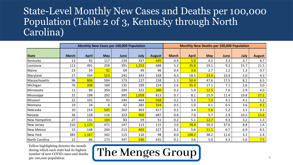#### State-Level Monthly New Cases and Deaths per 100,000 Population (Table 2 of 3, Kentucky through North Carolina)

|                   |              |              | Monthly New Cases per 100,000 Population |      |       |               | <b>Monthly New Deaths per 100,000 Population</b> |              |            |      |      |               |  |
|-------------------|--------------|--------------|------------------------------------------|------|-------|---------------|--------------------------------------------------|--------------|------------|------|------|---------------|--|
| <b>State</b>      | <b>March</b> | <b>April</b> | <b>May</b>                               | June | July  | <b>August</b> | <b>March</b>                                     | <b>April</b> | <b>May</b> | June | July | <b>August</b> |  |
| Kentucky          | 13           | 92           | 117                                      | 134  | 337   | 445           | 0.4                                              | 5.0          | 4.5        | 3.3  | 3.7  | 4.7           |  |
| Louisiana         | 113          | 491          | 258                                      | 391  | 1,252 | 688           | 5.2                                              | 35.8         | 19.1       | 9.2  | 15.7 | 21.5          |  |
| Maine             | 23           | 59           | 92                                       | 69   | 49    | 46            | 0.4                                              | 3.6          | 2.7        | 1.2  | 1.3  | 0.7           |  |
| Maryland          | 27           | 334          | 523                                      | 243  | 343   | 328           | 0.3                                              | 18.5         | 23.0       | 10.9 | 5.0  | 4.3           |  |
| Massachusetts     | 96           | 806          | 504                                      | 173  | 127   | 158           | 1.3                                              | 50.4         | 47.6       | 17.5 | 8.1  | 6.5           |  |
| Michigan          | 76           | 338          | 160                                      | 135  | 199   | 224           | 2.6                                              | 35.3         | 17.1       | 7.1  | 2.6  | 3.0           |  |
| Minnesota         | 11           | 80           | 350                                      | 204  | 322   | 380           | 0.2                                              | 5.9          | 12.5       | 7.6  | 2.9  | 4.0           |  |
| Mississippi       | 31           | 198          | 292                                      | 395  | 1,058 | 813           | 0.7                                              | 8.1          | 15.9       | 11.4 | 19.8 | 27.2          |  |
| Missouri          | 22           | 101          | 93                                       | 144  | 464   | 568           | 0.2                                              | 5.3          | 7.2        | 4.1  | 4.1  | 5.2           |  |
| Montana           | 19           | 24           | 6                                        | 42   | 282   | 324           | 0.5                                              | 1.0          | 0.1        | 0.5  | 3.6  | 4.1           |  |
| Nebraska          | 10           | 214          | 505                                      | 263  | 363   | 417           | 0.2                                              | 3.4          | 5.6        | 5.2  | 3.1  | 3.3           |  |
| Nevada            | 36           | 128          | 116                                      | 323  | 960   | 687           | 0.8                                              | 7.0          | 5.7        | 2.9  | 10.5 | 15.4          |  |
| New Hampshire     | 27           | 131          | 184                                      | 83   | 59    | 51            | 0.2                                              | 5.1          | 12.7       | 9.3  | 3.2  | 1.3           |  |
| New Jersey        | 210          | 1,125        | 471                                      | 147  | 113   | 115           | 3.0                                              | 78.4         | 50.3       | 37.6 | 8.8  | 1.4           |  |
| <b>New Mexico</b> | 15           | 148          | 204                                      | 213  | 403   | 227           | 0.2                                              | 5.6          | 11.1       | 6.7  | 6.9  | 6.5           |  |
| <b>New York</b>   | 383          | 1,167        | 342                                      | 115  | 110   | 98            | 8.0                                              | 108.2        | 38.2       | 11.6 | 3.1  | 2.4           |  |
| North Carolina    | 15           | 86           | 173                                      | 347  | 546   | 435           | 0.1                                              | 3.6          | 5.0        | 4.3  | 5.6  | 7.5           |  |

Yellow highlighting denotes the month during which each state had its highest number of new COVID cases and deaths per 100,000 population.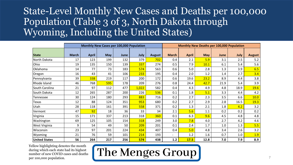#### State-Level Monthly New Cases and Deaths per 100,000 Population (Table 3 of 3, North Dakota through Wyoming, Including the United States)

|                      |              |              | Monthly New Cases per 100,000 Population |      |       |               | Monthly New Deaths per 100,000 Population |              |            |      |      |               |  |
|----------------------|--------------|--------------|------------------------------------------|------|-------|---------------|-------------------------------------------|--------------|------------|------|------|---------------|--|
| <b>State</b>         | <b>March</b> | <b>April</b> | <b>May</b>                               | June | July  | <b>August</b> | <b>March</b>                              | <b>April</b> | <b>May</b> | June | July | <b>August</b> |  |
| North Dakota         | 17           | 123          | 199                                      | 132  | 379   | 702           | 0.4                                       | 2.1          | 5.9        | 3.1  | 2.5  | 5.2           |  |
| Ohio                 | 19           | 135          | 150                                      | 139  | 337   | 274           | 0.5                                       | 7.9          | 10.1       | 6.1  | 5.4  | 5.6           |  |
| Oklahoma             | 14           | 77           | 73                                       | 183  | 574   | 563           | 0.6                                       | 5.0          | 2.8        | 1.3  | 3.9  | 6.5           |  |
| Oregon               | 16           | 43           | 41                                       | 106  | 233   | 195           | 0.4                                       | 2.0          | 1.2        | 1.4  | 2.7  | 3.4           |  |
| Pennsylvania         | 39           | 338          | 219                                      | 117  | 200   | 172           | 0.6                                       | 19.6         | 23.2       | 8.9  | 4.4  | 3.8           |  |
| Rhode Island         | 46           | 768          | 595                                      | 178  | 209   | 276           | 0.8                                       | 24.4         | 42.7       | 21.9 | 5.4  | 3.9           |  |
| South Carolina       | 21           | 97           | 112                                      | 477  | 1,022 | 582           | 0.4                                       | 4.3          | 4.9        | 4.8  | 18.9 | 19.6          |  |
| South Dakota         | 12           | 265          | 287                                      | 200  | 226   | 536           | 0.1                                       | 1.8          | 5.1        | 3.3  | 4.4  | 4.2           |  |
| Tennessee            | 30           | 124          | 180                                      | 293  | 883   | 716           | 0.2                                       | 2.7          | 2.3        | 3.5  | 6.6  | 10.0          |  |
| Texas                | 12           | 88           | 124                                      | 351  | 953   | 680           | 0.2                                       | 2.7          | 2.9        | 2.8  | 16.5 | 19.3          |  |
| Utah                 | 28           | 118          | 161                                      | 391  | 558   | 371           | 0.2                                       | 1.3          | 2.1        | 1.8  | 4.2  | 3.2           |  |
| Vermont              | 47           | 92           | 18                                       | 36   | 33    | 34            | 2.1                                       | 5.6          | 1.1        | 0.2  | 0.2  | 0.2           |  |
| Virginia             | 15           | 171          | 337                                      | 213  | 318   | 360           | 0.1                                       | 6.3          | 9.6        | 4.5  | 4.8  | 4.8           |  |
| Washington           | 69           | 125          | 105                                      | 154  | 318   | 249           | 3.0                                       | 7.8          | 4.0        | 2.7  | 4.2  | 4.6           |  |
| <b>West Virginia</b> | 9            | 54           | 49                                       | 50   | 209   | 201           | 0.1                                       | 2.4          | 1.7        | 1.0  | 1.3  | 5.5           |  |
| Wisconsin            | 23           | 97           | 201                                      | 224  | 434   | 407           | 0.4                                       | 5.0          | 4.8        | 3.4  | 2.6  | 3.2           |  |
| Wyoming              | 21           | 76           | 59                                       | 101  | 214   | 193           | $\overline{\phantom{0}}$                  | 1.2          | 1.6        | 0.7  | 1.0  | 1.9           |  |
| <b>United States</b> | 56           | 264          | 217                                      | 256  | 574   | 438           | 1.2                                       | 17.5         | 12.8       | 7.0  | 7.9  | 8.9           |  |

Yellow highlighting denotes the month during which each state had its highest number of new COVID cases and deaths per 100,000 population.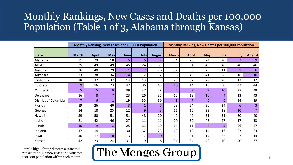### Monthly Rankings, New Cases and Deaths per 100,000 Population (Table 1 of 3, Alabama through Kansas)

|                      |              |              |                | Monthly Ranking, New Cases per 100,000 Population |                |               | Monthly Ranking, New Deaths per 100,000 Population |              |            |             |              |                |  |  |  |
|----------------------|--------------|--------------|----------------|---------------------------------------------------|----------------|---------------|----------------------------------------------------|--------------|------------|-------------|--------------|----------------|--|--|--|
| <b>State</b>         | <b>March</b> | <b>April</b> | <b>May</b>     | <b>June</b>                                       | <b>July</b>    | <b>August</b> | <b>March</b>                                       | <b>April</b> | <b>May</b> | <b>June</b> | <b>July</b>  | <b>August</b>  |  |  |  |
| Alabama              | 31           | 29           | 18             | 5                                                 | 6              | 2             | 34                                                 | 26           | 24         | 20          | 7            | 9              |  |  |  |
| Alaska               | 35           | 49           | 49             | 45                                                | 24             | 31            | 35                                                 | 51           | 49         | 48          | 48           | 46             |  |  |  |
| Arizona              | 36           | 40           | 29             | $\mathbf{1}$                                      | $\overline{2}$ | 26            | 32                                                 | 35           | 23         | 11          | $\mathbf{1}$ | 6              |  |  |  |
| Arkansas             | 33           | 38           | 34             | 4                                                 | 12             | 12            | 36                                                 | 46           | 41         | 28          | 16           | 10             |  |  |  |
| California           | 28           | 32           | 32             | 14                                                | 13             | 17            | 23                                                 | 32           | 29         | 26          | 12           | 12             |  |  |  |
| Colorado             | 9            | 16           | 23             | 42                                                | 36             | 43            | 10                                                 | 14           | 18         | 30          | 42           | 44             |  |  |  |
| Connecticut          | 5            | 5            | 9              | 39                                                | 47             | 48            | 7                                                  | 3            | 3          | 10          | 37           | 49             |  |  |  |
| Delaware             | 16           | 8            | 7              | 23                                                | 26             | 35            | 12                                                 | 13           | 10         | 4           | 13           | 43             |  |  |  |
| District of Columbia | 7            | 6            | $\mathbf 1$    | 19                                                | 35             | 36            | 9                                                  | 7            | 6          | 6           | 24           | 39             |  |  |  |
| Florida              | 19           | 26           | 40             | 3                                                 | $\mathbf 1$    | 5             | 28                                                 | 24           | 30         | 24          | 6            | $\overline{3}$ |  |  |  |
| Georgia              | 14           | 18           | 25             | 12                                                | 9              | 3             | 11                                                 | 15           | 22         | 18          | 10           | 7              |  |  |  |
| Hawaii               | 39           | 50           | 51             | 51                                                | 48             | 20            | 49                                                 | 49           | 51         | 51          | 50           | 40             |  |  |  |
| Idaho                | 21           | 42           | 46             | 27                                                | 11             | 11            | 20                                                 | 39           | 48         | 47          | 17           | 13             |  |  |  |
| Illinois             | 10           | 9            | $\overline{3}$ | 25                                                | 33             | 19            | 14                                                 | 11           | 7          | 5           | 26           | 27             |  |  |  |
| Indiana              | 17           | 14           | 17             | 30                                                | 32             | 23            | 13                                                 | 12           | 14         | 16          | 23           | 23             |  |  |  |
| lowa                 | 40           | 17           | 10             | 13                                                | 17             | 10            | 39                                                 | 31           | 17         | 22          | 22           | 14             |  |  |  |
| Kansas               | 42           | 23           | 24             | 31                                                | 19             | 18            | 31                                                 | 34           | 40         | 40          | 40           | 37             |  |  |  |

Purple highlighting denotes a state that ranked top 10 in new cases or deaths per 100,000 population within each month.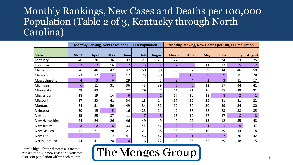#### Monthly Rankings, New Cases and Deaths per 100,000 Population (Table 2 of 3, Kentucky through North Carolina)

|                   |                |                |            | Monthly Ranking, New Cases per 100,000 Population |             |                | Monthly Ranking, New Deaths per 100,000 Population |                |                |             |                |               |  |  |
|-------------------|----------------|----------------|------------|---------------------------------------------------|-------------|----------------|----------------------------------------------------|----------------|----------------|-------------|----------------|---------------|--|--|
|                   |                |                |            |                                                   |             |                |                                                    |                |                |             |                |               |  |  |
| <b>State</b>      | <b>March</b>   | <b>April</b>   | <b>May</b> | <b>June</b>                                       | <b>July</b> | <b>August</b>  | <b>March</b>                                       | <b>April</b>   | <b>May</b>     | <b>June</b> | July           | <b>August</b> |  |  |
| Kentucky          | 46             | 36             | 36         | 37                                                | 27          | 21             | 27                                                 | 30             | 35             | 34          | 33             | 25            |  |  |
| Louisiana         | 3              | 7              | 16         | $\overline{7}$                                    | 3           | $\overline{7}$ | $\overline{2}$                                     | 5              | 11             | 13          | 5              |               |  |  |
| Maine             | 26             | 46             | 42         | 47                                                | 50          | 50             | 30                                                 | 37             | 39             | 44          | 46             | 50            |  |  |
| Maryland          | 23             | 12             | 4          | 17                                                | 25          | 30             | 33                                                 | 10             | 9              | 9           | 21             | 28            |  |  |
| Massachusetts     | 4              | 3              | 6          | 29                                                | 44          | 45             | 8                                                  | $\overline{4}$ | $\overline{2}$ | 3           | 11             | 17            |  |  |
| Michigan          | 6              | 11             | 31         | 36                                                | 43          | 39             | 5                                                  | 6              | 12             | 17          | 44             | 41            |  |  |
| Minnesota         | 49             | 43             | 11         | 22                                                | 29          | 27             | 41                                                 | 21             | 16             | 15          | 39             | 31            |  |  |
| Mississippi       | 18             | 19             | 14         | 6                                                 | 4           |                | 17                                                 | 16             | 13             | 8           | $\overline{2}$ |               |  |  |
| Missouri          | 27             | 33             | 41         | 34                                                | 18          | 14             | 37                                                 | 25             | 25             | 31          | 31             | 22            |  |  |
| Montana           | 34             | 51             | 50         | 49                                                | 34          | 32             | 22                                                 | 50             | 50             | 49          | 34             | 30            |  |  |
| Nebraska          | 50             | 15             | 5          | 16                                                | 23          | 24             | 42                                                 | 38             | 28             | 23          | 38             | 35            |  |  |
| Nevada            | 15             | 25             | 37         | 11                                                | 7           | 8              | 15                                                 | 19             | 27             | 37          | 8              | 8             |  |  |
| New Hampshire     | 24             | 24             | 26         | 46                                                | 49          | 49             | 40                                                 | 27             | 15             | 12          | 35             | 48            |  |  |
| <b>New Jersey</b> | $\overline{2}$ | $\overline{2}$ | 8          | 33                                                | 45          | 46             | 3                                                  | $\overline{2}$ |                |             | 9              | 47            |  |  |
| <b>New Mexico</b> | 41             | 21             | 20         | 21                                                | 21          | 38             | 38                                                 | 22             | 19             | 19          | 14             | 18            |  |  |
| <b>New York</b>   | 1              |                | 12         | 41                                                | 46          | 47             | 1                                                  | $\mathbf{1}$   | 5              | 7           | 36             | 42            |  |  |
| North Carolina    | 44             | 41             | 28         | 10                                                | 16          | 22             | 48                                                 | 36             | 32             | 29          | 18             | 15            |  |  |

Purple highlighting denotes a state that ranked top 10 in new cases or deaths per 100,000 population within each month.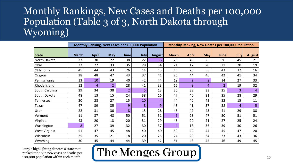#### Monthly Rankings, New Cases and Deaths per 100,000 Population (Table 3 of 3, North Dakota through Wyoming)

|                |              |              |                | Monthly Ranking, New Cases per 100,000 Population |             |               | <b>Monthly Ranking, New Deaths per 100,000 Population</b> |              |            |                |             |                |  |  |
|----------------|--------------|--------------|----------------|---------------------------------------------------|-------------|---------------|-----------------------------------------------------------|--------------|------------|----------------|-------------|----------------|--|--|
| <b>State</b>   | <b>March</b> | <b>April</b> | <b>May</b>     | <b>June</b>                                       | <b>July</b> | <b>August</b> | <b>March</b>                                              | <b>April</b> | <b>May</b> | Junel          | <b>July</b> | <b>August</b>  |  |  |
| North Dakota   | 37           | 30           | 22             | 38                                                | 22          | 6             | 29                                                        | 43           | 26         | 36             | 45          | 21             |  |  |
| Ohio           | 32           | 22           | 33             | 35                                                | 28          | 34            | 21                                                        | 17           | 20         | 21             | 20          | 19             |  |  |
| Oklahoma       | 45           | 44           | 43             | 26                                                | 14          | 15            | 18                                                        | 28           | 38         | 43             | 32          | 16             |  |  |
| Oregon         | 38           | 48           | 47             | 43                                                | 37          | 41            | 26                                                        | 44           | 46         | 42             | 41          | 34             |  |  |
| Pennsylvania   | 13           | 10           | 19             | 40                                                | 42          | 44            | 19                                                        | 9            | 8          | 14             | 27          | 33             |  |  |
| Rhode Island   | 12           | 4            | $\overline{2}$ | 28                                                | 41          | 33            | 16                                                        | 8            | 4          | $\overline{2}$ | 19          | 32             |  |  |
| South Carolina | 29           | 34           | 38             | $\overline{2}$                                    | 5           | 13            | 25                                                        | 33           | 33         | 25             | 3           | $\overline{4}$ |  |  |
| South Dakota   | 48           | 13           | 15             | 24                                                | 38          | 16            | 47                                                        | 45           | 31         | 35             | 28          | 29             |  |  |
| Tennessee      | 20           | 28           | 27             | 15                                                | 10          | 4             | 44                                                        | 40           | 42         | 32             | 15          | 11             |  |  |
| Texas          | 47           | 39           | 35             | 9                                                 | 8           | 9             | 43                                                        | 41           | 37         | 38             | 4           | 5              |  |  |
| Utah           | 22           | 31           | 30             | 8                                                 | 15          | 28            | 45                                                        | 47           | 43         | 41             | 29          | 38             |  |  |
| Vermont        | 11           | 37           | 48             | 50                                                | 51          | 51            | 6                                                         | 23           | 47         | 50             | 51          | 51             |  |  |
| Virginia       | 43           | 20           | 13             | 20                                                | 31          | 29            | 46                                                        | 20           | 21         | 27             | 25          | 24             |  |  |
| Washington     | 8            | 27           | 39             | 32                                                | 30          | 37            | 4                                                         | 18           | 36         | 39             | 30          | 26             |  |  |
| West Virginia  | 51           | 47           | 45             | 48                                                | 40          | 40            | 50                                                        | 42           | 44         | 45             | 47          | 20             |  |  |
| Wisconsin      | 25           | 35           | 21             | 18                                                | 20          | 25            | 24                                                        | 29           | 34         | 33             | 43          | 36             |  |  |
| Wyoming        | 30           | 45           | 44             | 44                                                | 39          | 42            | 51                                                        | 48           | 45         | 46             | 49          | 45             |  |  |

Purple highlighting denotes a state that ranked top 10 in new cases or deaths per 100,000 population within each month.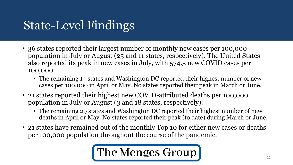## State-Level Findings

- 36 states reported their largest number of monthly new cases per 100,000 population in July or August (25 and 11 states, respectively). The United States also reported its peak in new cases in July, with 574.5 new COVID cases per 100,000.
	- The remaining 14 states and Washington DC reported their highest number of new cases per 100,000 in April or May. No states reported their peak in March or June.
- 21 states reported their highest new COVID-attributed deaths per 100,000 population in July or August (3 and 18 states, respectively).
	- The remaining 29 states and Washington DC reported their highest number of new deaths in April or May. No states reported their peak (to date) during March or June.
- 21 states have remained out of the monthly Top 10 for either new cases or deaths per 100,000 population throughout the course of the pandemic.